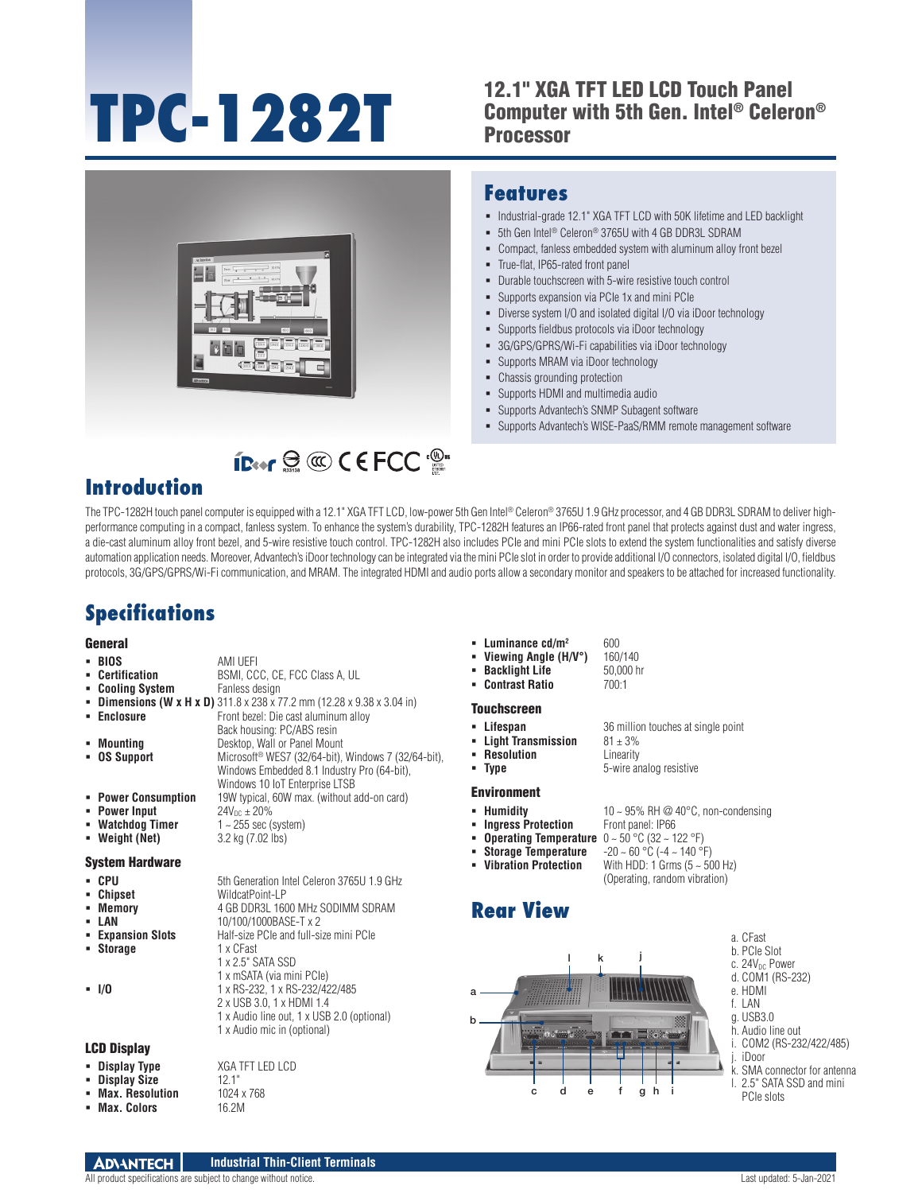# **TPC-1282T**

## 12.1" XGA TFT LED LCD Touch Panel Computer with 5th Gen. Intel® Celeron® **Processor**



**ID:** FOR CONCILERATION

### **Features**

- $\blacksquare$  Industrial-grade 12.1" XGA TFT LCD with 50K lifetime and LED backlight
- 5th Gen Intel® Celeron® 3765U with 4 GB DDR3L SDRAM
- Compact, fanless embedded system with aluminum alloy front bezel
- True-flat, IP65-rated front panel
- Durable touchscreen with 5-wire resistive touch control
- Supports expansion via PCIe 1x and mini PCIe
- Diverse system I/O and isolated digital I/O via iDoor technology
- Supports fieldbus protocols via iDoor technology
- 3G/GPS/GPRS/Wi-Fi capabilities via iDoor technology
- **-** Supports MRAM via iDoor technology
- Chassis grounding protection
- Supports HDMI and multimedia audio
- Supports Advantech's SNMP Subagent software
- Supports Advantech's WISE-PaaS/RMM remote management software

# **Introduction**

The TPC-1282H touch panel computer is equipped with a 12.1" XGA TFT LCD, low-power 5th Gen Intel® Celeron® 3765U 1.9 GHz processor, and 4 GB DDR3L SDRAM to deliver highperformance computing in a compact, fanless system. To enhance the system's durability, TPC-1282H features an IP66-rated front panel that protects against dust and water ingress, a die-cast aluminum alloy front bezel, and 5-wire resistive touch control. TPC-1282H also includes PCIe and mini PCIe slots to extend the system functionalities and satisfy diverse automation application needs. Moreover, Advantech's iDoor technology can be integrated via the mini PCIe slot in order to provide additional I/O connectors, isolated digital I/O, fieldbus protocols, 3G/GPS/GPRS/Wi-Fi communication, and MRAM. The integrated HDMI and audio ports allow a secondary monitor and speakers to be attached for increased functionality.

# **Specifications**

#### General

| - BIOS<br>• Certification<br>• Cooling System<br>• Enclosure<br>• Mounting<br><b>DS Support</b><br>• Power Consumption<br>• Power Input<br>• Watchdog Timer<br>• Weight (Net) | AMI UEFI<br>BSMI, CCC, CE, FCC Class A, UL<br>Fanless design<br><b>Dimensions (W x H x D)</b> 311.8 x 238 x 77.2 mm (12.28 x 9.38 x 3.04 in)<br>Front bezel: Die cast aluminum alloy<br>Back housing: PC/ABS resin<br>Desktop, Wall or Panel Mount<br>Microsoft <sup>®</sup> WES7 (32/64-bit), Windows 7 (32/64-bit),<br>Windows Embedded 8.1 Industry Pro (64-bit),<br>Windows 10 IoT Enterprise LTSB<br>19W typical, 60W max. (without add-on card)<br>$24V_{\text{DC}} \pm 20\%$<br>$1 - 255$ sec (system)<br>3.2 kg (7.02 lbs) |
|-------------------------------------------------------------------------------------------------------------------------------------------------------------------------------|------------------------------------------------------------------------------------------------------------------------------------------------------------------------------------------------------------------------------------------------------------------------------------------------------------------------------------------------------------------------------------------------------------------------------------------------------------------------------------------------------------------------------------|
| System Hardware                                                                                                                                                               |                                                                                                                                                                                                                                                                                                                                                                                                                                                                                                                                    |
| CPU<br>٠<br>• Chipset<br>• Memory<br>• LAN<br>• Expansion Slots<br>• Storage<br>- 1/0                                                                                         | 5th Generation Intel Celeron 3765U 1.9 GHz<br>WildcatPoint-LP<br>4 GB DDR3L 1600 MHz SODIMM SDRAM<br>10/100/1000BASE-T x 2<br>Half-size PCIe and full-size mini PCIe<br>1 x CFast<br>1 x 2.5" SATA SSD<br>1 x mSATA (via mini PCIe)<br>1 x RS-232, 1 x RS-232/422/485<br>2 x USB 3.0, 1 x HDMI 1.4<br>1 x Audio line out, 1 x USB 2.0 (optional)<br>1 x Audio mic in (optional)                                                                                                                                                    |

#### LCD Display

| • Display Type | <b>XGA TFT LED LCD</b> |
|----------------|------------------------|
| • Display Size | 12.1"                  |

- 
- **Max. Colors**
- **Max. Resolution** 1024 x 768<br>**Max. Colors** 16 2M
- 
- **Luminance cd/m<sup>2</sup> 600<br><b>- Viewing Angle (H/V°)** 160/140
	- **Viewing Angle (H/V°)** 160/140<br>**Backlight Life** 50,000 hr **Backlight Life**
- **Contrast Ratio** 700:1

#### Touchscreen

- **Lifespan** 36 million touches at single point<br>**Light Transmission**  $81 \pm 3\%$
- **Light Transmission**
- **Resolution**<br>**Prope Resolution**<br>**Resolution**<br>**Resolution**<br>**B** *S*-wire and
	- **5-wire** analog resistive

#### Environment

- 
- **Humidity 10** ~ 95% RH @ 40°C, non-condensing<br>■ **Ingress Protection** Front panel: IP66 **Fingress Protection**
- **Operating Temperature** 0 ~ 50 °C (32 ~ 122 °F)
	- **Storage Temperature** -20 ~ 60 °C (-4 ~ 140 °F)
- **Vibration Protection** With HDD: 1 Grms (5 ~ 500 Hz)
	- (Operating, random vibration)

## **Rear View**



- a. CFast
- b. PCIe Slot
- c. 24V<sub>DC</sub> Power d. COM1 (RS-232)
- e. HDMI
- f. LAN
- g. USB3.0
- h. Audio line out
- i. COM2 (RS-232/422/485) j. iDoor
	-
- k. SMA connector for antenna l. 2.5" SATA SSD and mini
- PCIe slots